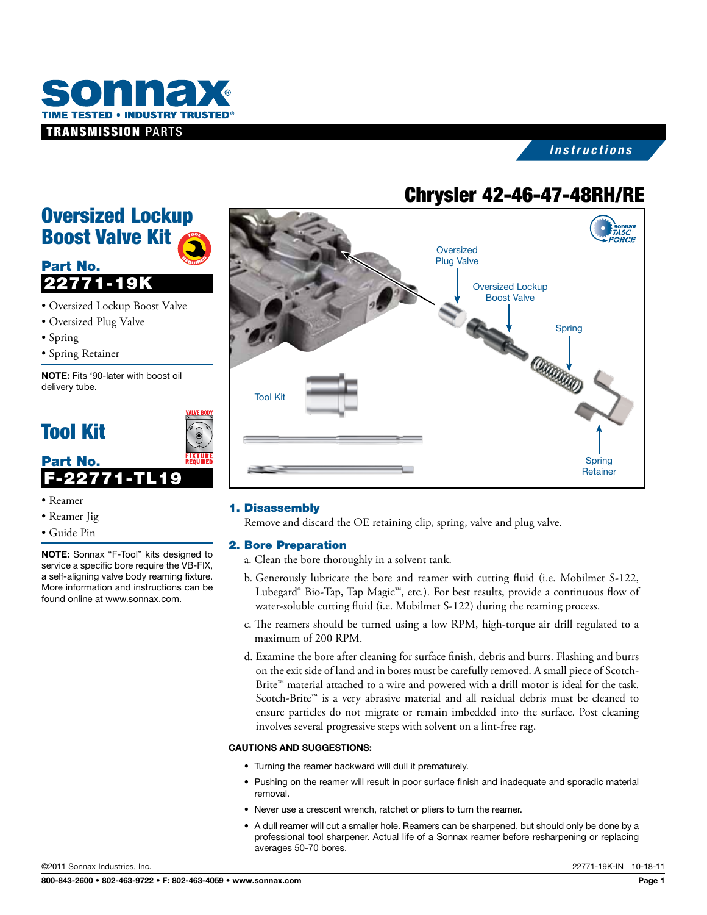

### *Instructions*

# **Chrysler 42-46-47-48RH/RE**

### Oversized Lockup Boost Valve Kit TOOL

<sup>R</sup>EQUIRE<sup>D</sup>

# Part No. 22771-19K

- • Oversized Lockup Boost Valve
- • Oversized Plug Valve
- • Spring
- • Spring Retainer

NOTE: Fits '90-later with boost oil delivery tube.

# Tool Kit



- • Reamer
- • Reamer Jig
- • Guide Pin

NOTE: Sonnax "F-Tool" kits designed to service a specific bore require the VB-FIX, a self-aligning valve body reaming fixture. More information and instructions can be found online at www.sonnax.com.



#### 1. Disassembly

Remove and discard the OE retaining clip, spring, valve and plug valve.

#### 2. Bore Preparation

- a. Clean the bore thoroughly in a solvent tank.
- b. Generously lubricate the bore and reamer with cutting fluid (i.e. Mobilmet S-122, Lubegard® Bio-Tap, Tap Magic™, etc.). For best results, provide a continuous flow of water-soluble cutting fluid (i.e. Mobilmet S-122) during the reaming process.
- c. The reamers should be turned using a low RPM, high-torque air drill regulated to a maximum of 200 RPM.
- d. Examine the bore after cleaning for surface finish, debris and burrs. Flashing and burrs on the exit side of land and in bores must be carefully removed. A small piece of Scotch-Brite<sup>™</sup> material attached to a wire and powered with a drill motor is ideal for the task. Scotch-Brite™ is a very abrasive material and all residual debris must be cleaned to ensure particles do not migrate or remain imbedded into the surface. Post cleaning involves several progressive steps with solvent on a lint-free rag.

#### Cautions and suggestions:

- Turning the reamer backward will dull it prematurely.
- • Pushing on the reamer will result in poor surface finish and inadequate and sporadic material removal.
- Never use a crescent wrench, ratchet or pliers to turn the reamer.
- • A dull reamer will cut a smaller hole. Reamers can be sharpened, but should only be done by a professional tool sharpener. Actual life of a Sonnax reamer before resharpening or replacing averages 50-70 bores.